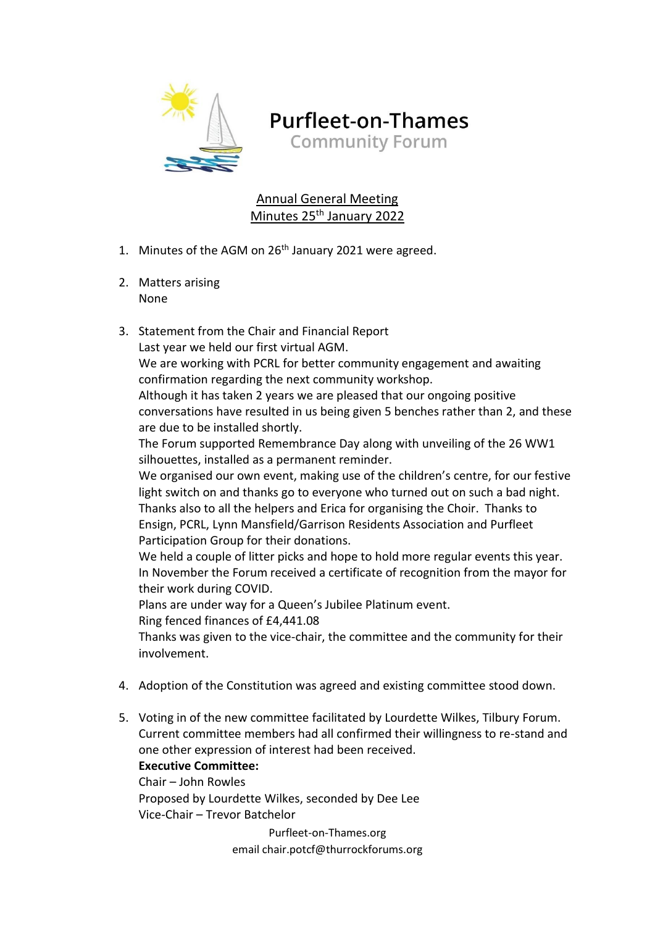

**Purfleet-on-Thames Community Forum** 

Annual General Meeting Minutes 25<sup>th</sup> January 2022

- 1. Minutes of the AGM on  $26<sup>th</sup>$  January 2021 were agreed.
- 2. Matters arising None
- 3. Statement from the Chair and Financial Report Last year we held our first virtual AGM.

We are working with PCRL for better community engagement and awaiting confirmation regarding the next community workshop.

Although it has taken 2 years we are pleased that our ongoing positive conversations have resulted in us being given 5 benches rather than 2, and these are due to be installed shortly.

The Forum supported Remembrance Day along with unveiling of the 26 WW1 silhouettes, installed as a permanent reminder.

We organised our own event, making use of the children's centre, for our festive light switch on and thanks go to everyone who turned out on such a bad night. Thanks also to all the helpers and Erica for organising the Choir. Thanks to Ensign, PCRL, Lynn Mansfield/Garrison Residents Association and Purfleet Participation Group for their donations.

We held a couple of litter picks and hope to hold more regular events this year. In November the Forum received a certificate of recognition from the mayor for their work during COVID.

Plans are under way for a Queen's Jubilee Platinum event. Ring fenced finances of £4,441.08

Thanks was given to the vice-chair, the committee and the community for their involvement.

- 4. Adoption of the Constitution was agreed and existing committee stood down.
- 5. Voting in of the new committee facilitated by Lourdette Wilkes, Tilbury Forum. Current committee members had all confirmed their willingness to re-stand and one other expression of interest had been received.

**Executive Committee:** Chair – John Rowles

Proposed by Lourdette Wilkes, seconded by Dee Lee Vice-Chair – Trevor Batchelor

> Purfleet-on-Thames.org email chair.potcf@thurrockforums.org